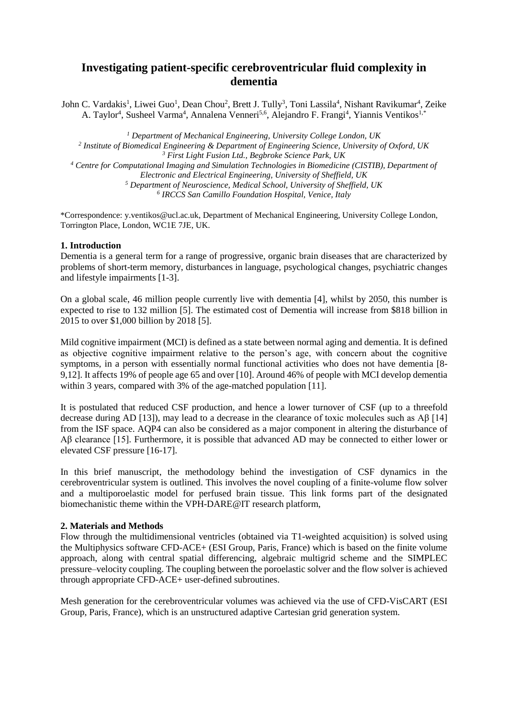# **Investigating patient-specific cerebroventricular fluid complexity in dementia**

John C. Vardakis<sup>1</sup>, Liwei Guo<sup>1</sup>, Dean Chou<sup>2</sup>, Brett J. Tully<sup>3</sup>, Toni Lassila<sup>4</sup>, Nishant Ravikumar<sup>4</sup>, Zeike A. Taylor<sup>4</sup>, Susheel Varma<sup>4</sup>, Annalena Venneri<sup>5,6</sup>, Alejandro F. Frangi<sup>4</sup>, Yiannis Ventikos<sup>1,\*</sup>

 *Department of Mechanical Engineering, University College London, UK Institute of Biomedical Engineering & Department of Engineering Science, University of Oxford, UK First Light Fusion Ltd., Begbroke Science Park, UK Centre for Computational Imaging and Simulation Technologies in Biomedicine (CISTIB), Department of Electronic and Electrical Engineering, University of Sheffield, UK Department of Neuroscience, Medical School, University of Sheffield, UK IRCCS San Camillo Foundation Hospital, Venice, Italy*

\*Correspondence: y.ventikos@ucl.ac.uk, Department of Mechanical Engineering, University College London, Torrington Place, London, WC1E 7JE, UK.

## **1. Introduction**

Dementia is a general term for a range of progressive, organic brain diseases that are characterized by problems of short-term memory, disturbances in language, psychological changes, psychiatric changes and lifestyle impairments [1-3].

On a global scale, 46 million people currently live with dementia [4], whilst by 2050, this number is expected to rise to 132 million [5]. The estimated cost of Dementia will increase from \$818 billion in 2015 to over \$1,000 billion by 2018 [5].

Mild cognitive impairment (MCI) is defined as a state between normal aging and dementia. It is defined as objective cognitive impairment relative to the person's age, with concern about the cognitive symptoms, in a person with essentially normal functional activities who does not have dementia [8- 9,12]. It affects 19% of people age 65 and over [10]. Around 46% of people with MCI develop dementia within 3 years, compared with 3% of the age-matched population [11].

It is postulated that reduced CSF production, and hence a lower turnover of CSF (up to a threefold decrease during AD [13]), may lead to a decrease in the clearance of toxic molecules such as Aβ [14] from the ISF space. AQP4 can also be considered as a major component in altering the disturbance of Aβ clearance [15]. Furthermore, it is possible that advanced AD may be connected to either lower or elevated CSF pressure [16-17].

In this brief manuscript, the methodology behind the investigation of CSF dynamics in the cerebroventricular system is outlined. This involves the novel coupling of a finite-volume flow solver and a multiporoelastic model for perfused brain tissue. This link forms part of the designated biomechanistic theme within the VPH-DARE@IT research platform,

## **2. Materials and Methods**

Flow through the multidimensional ventricles (obtained via T1-weighted acquisition) is solved using the Multiphysics software CFD-ACE+ (ESI Group, Paris, France) which is based on the finite volume approach, along with central spatial differencing, algebraic multigrid scheme and the SIMPLEC pressure–velocity coupling. The coupling between the poroelastic solver and the flow solver is achieved through appropriate CFD-ACE+ user-defined subroutines.

Mesh generation for the cerebroventricular volumes was achieved via the use of CFD-VisCART (ESI Group, Paris, France), which is an unstructured adaptive Cartesian grid generation system.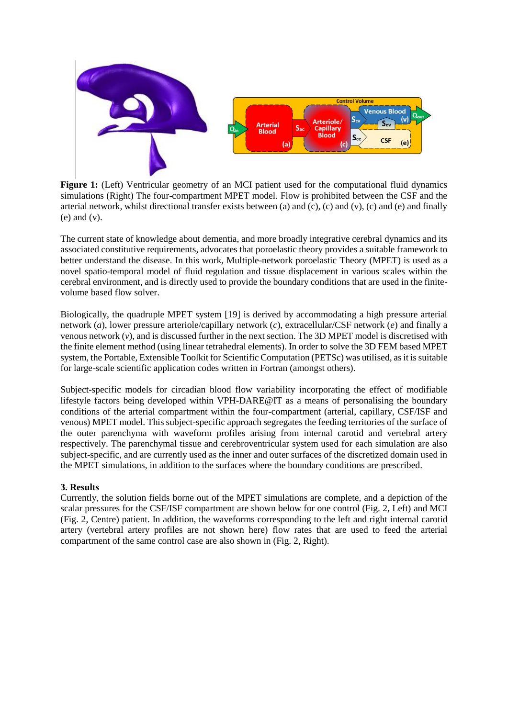

Figure 1: (Left) Ventricular geometry of an MCI patient used for the computational fluid dynamics simulations (Right) The four-compartment MPET model. Flow is prohibited between the CSF and the arterial network, whilst directional transfer exists between (a) and (c), (c) and (v), (c) and (e) and finally  $(e)$  and  $(v)$ .

The current state of knowledge about dementia, and more broadly integrative cerebral dynamics and its associated constitutive requirements, advocates that poroelastic theory provides a suitable framework to better understand the disease. In this work, Multiple-network poroelastic Theory (MPET) is used as a novel spatio-temporal model of fluid regulation and tissue displacement in various scales within the cerebral environment, and is directly used to provide the boundary conditions that are used in the finitevolume based flow solver.

Biologically, the quadruple MPET system [19] is derived by accommodating a high pressure arterial network (*a*), lower pressure arteriole/capillary network (*c*), extracellular/CSF network (*e*) and finally a venous network  $(v)$ , and is discussed further in the next section. The 3D MPET model is discretised with the finite element method (using linear tetrahedral elements). In order to solve the 3D FEM based MPET system, the Portable, Extensible Toolkit for Scientific Computation (PETSc) was utilised, asit is suitable for large-scale scientific application codes written in Fortran (amongst others).

Subject-specific models for circadian blood flow variability incorporating the effect of modifiable lifestyle factors being developed within VPH-DARE@IT as a means of personalising the boundary conditions of the arterial compartment within the four-compartment (arterial, capillary, CSF/ISF and venous) MPET model. This subject-specific approach segregates the feeding territories of the surface of the outer parenchyma with waveform profiles arising from internal carotid and vertebral artery respectively. The parenchymal tissue and cerebroventricular system used for each simulation are also subject-specific, and are currently used as the inner and outer surfaces of the discretized domain used in the MPET simulations, in addition to the surfaces where the boundary conditions are prescribed.

## **3. Results**

Currently, the solution fields borne out of the MPET simulations are complete, and a depiction of the scalar pressures for the CSF/ISF compartment are shown below for one control (Fig. 2, Left) and MCI (Fig. 2, Centre) patient. In addition, the waveforms corresponding to the left and right internal carotid artery (vertebral artery profiles are not shown here) flow rates that are used to feed the arterial compartment of the same control case are also shown in (Fig. 2, Right).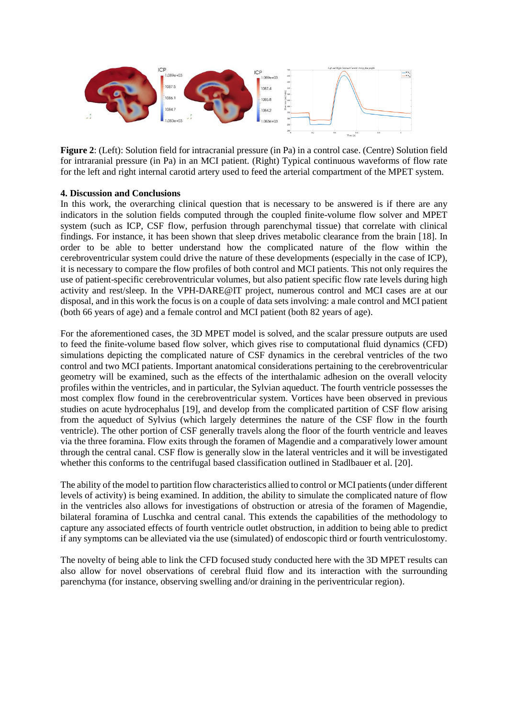

**Figure 2**: (Left): Solution field for intracranial pressure (in Pa) in a control case. (Centre) Solution field for intraranial pressure (in Pa) in an MCI patient. (Right) Typical continuous waveforms of flow rate for the left and right internal carotid artery used to feed the arterial compartment of the MPET system.

#### **4. Discussion and Conclusions**

In this work, the overarching clinical question that is necessary to be answered is if there are any indicators in the solution fields computed through the coupled finite-volume flow solver and MPET system (such as ICP, CSF flow, perfusion through parenchymal tissue) that correlate with clinical findings. For instance, it has been shown that sleep drives metabolic clearance from the brain [18]. In order to be able to better understand how the complicated nature of the flow within the cerebroventricular system could drive the nature of these developments (especially in the case of ICP), it is necessary to compare the flow profiles of both control and MCI patients. This not only requires the use of patient-specific cerebroventricular volumes, but also patient specific flow rate levels during high activity and rest/sleep. In the VPH-DARE@IT project, numerous control and MCI cases are at our disposal, and in this work the focus is on a couple of data sets involving: a male control and MCI patient (both 66 years of age) and a female control and MCI patient (both 82 years of age).

For the aforementioned cases, the 3D MPET model is solved, and the scalar pressure outputs are used to feed the finite-volume based flow solver, which gives rise to computational fluid dynamics (CFD) simulations depicting the complicated nature of CSF dynamics in the cerebral ventricles of the two control and two MCI patients. Important anatomical considerations pertaining to the cerebroventricular geometry will be examined, such as the effects of the interthalamic adhesion on the overall velocity profiles within the ventricles, and in particular, the Sylvian aqueduct. The fourth ventricle possesses the most complex flow found in the cerebroventricular system. Vortices have been observed in previous studies on acute hydrocephalus [19], and develop from the complicated partition of CSF flow arising from the aqueduct of Sylvius (which largely determines the nature of the CSF flow in the fourth ventricle). The other portion of CSF generally travels along the floor of the fourth ventricle and leaves via the three foramina. Flow exits through the foramen of Magendie and a comparatively lower amount through the central canal. CSF flow is generally slow in the lateral ventricles and it will be investigated whether this conforms to the centrifugal based classification outlined in Stadlbauer et al. [20].

The ability of the model to partition flow characteristics allied to control or MCI patients (under different levels of activity) is being examined. In addition, the ability to simulate the complicated nature of flow in the ventricles also allows for investigations of obstruction or atresia of the foramen of Magendie, bilateral foramina of Luschka and central canal. This extends the capabilities of the methodology to capture any associated effects of fourth ventricle outlet obstruction, in addition to being able to predict if any symptoms can be alleviated via the use (simulated) of endoscopic third or fourth ventriculostomy.

The novelty of being able to link the CFD focused study conducted here with the 3D MPET results can also allow for novel observations of cerebral fluid flow and its interaction with the surrounding parenchyma (for instance, observing swelling and/or draining in the periventricular region).